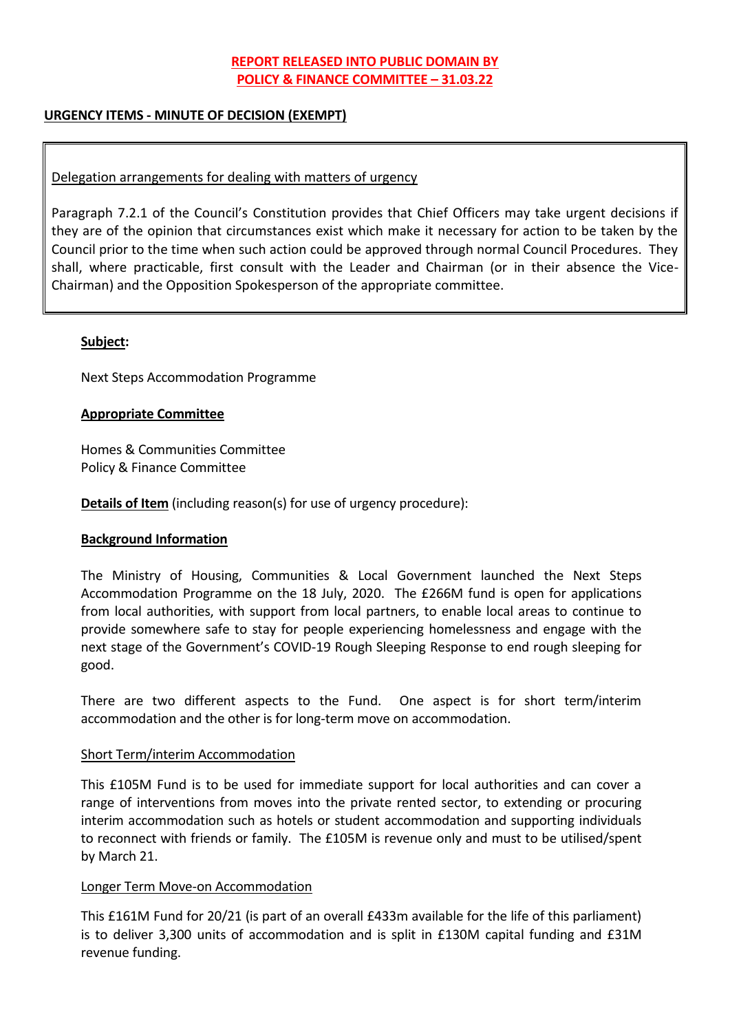# **REPORT RELEASED INTO PUBLIC DOMAIN BY POLICY & FINANCE COMMITTEE – 31.03.22**

### **URGENCY ITEMS - MINUTE OF DECISION (EXEMPT)**

### Delegation arrangements for dealing with matters of urgency

Paragraph 7.2.1 of the Council's Constitution provides that Chief Officers may take urgent decisions if they are of the opinion that circumstances exist which make it necessary for action to be taken by the Council prior to the time when such action could be approved through normal Council Procedures. They shall, where practicable, first consult with the Leader and Chairman (or in their absence the Vice-Chairman) and the Opposition Spokesperson of the appropriate committee.

#### **Subject:**

Next Steps Accommodation Programme

### **Appropriate Committee**

Homes & Communities Committee Policy & Finance Committee

**Details of Item** (including reason(s) for use of urgency procedure):

#### **Background Information**

The Ministry of Housing, Communities & Local Government launched the Next Steps Accommodation Programme on the 18 July, 2020. The £266M fund is open for applications from local authorities, with support from local partners, to enable local areas to continue to provide somewhere safe to stay for people experiencing homelessness and engage with the next stage of the Government's COVID-19 Rough Sleeping Response to end rough sleeping for good.

There are two different aspects to the Fund. One aspect is for short term/interim accommodation and the other is for long-term move on accommodation.

#### Short Term/interim Accommodation

This £105M Fund is to be used for immediate support for local authorities and can cover a range of interventions from moves into the private rented sector, to extending or procuring interim accommodation such as hotels or student accommodation and supporting individuals to reconnect with friends or family. The £105M is revenue only and must to be utilised/spent by March 21.

#### Longer Term Move-on Accommodation

This £161M Fund for 20/21 (is part of an overall £433m available for the life of this parliament) is to deliver 3,300 units of accommodation and is split in £130M capital funding and £31M revenue funding.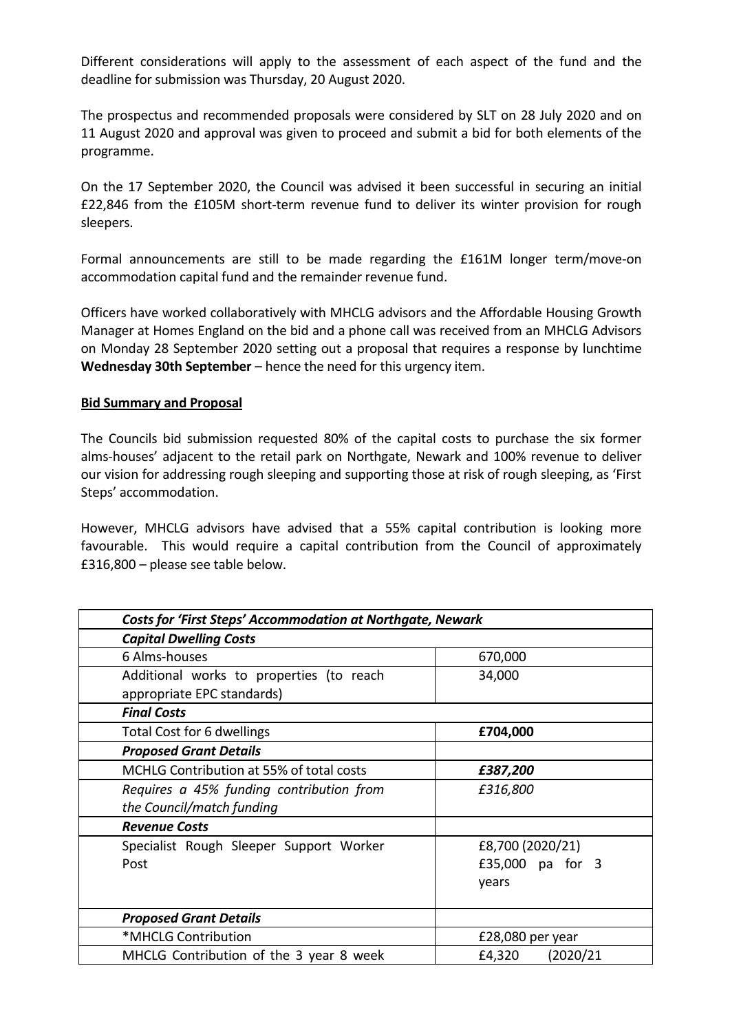Different considerations will apply to the assessment of each aspect of the fund and the deadline for submission was Thursday, 20 August 2020.

The prospectus and recommended proposals were considered by SLT on 28 July 2020 and on 11 August 2020 and approval was given to proceed and submit a bid for both elements of the programme.

On the 17 September 2020, the Council was advised it been successful in securing an initial £22,846 from the £105M short-term revenue fund to deliver its winter provision for rough sleepers.

Formal announcements are still to be made regarding the £161M longer term/move-on accommodation capital fund and the remainder revenue fund.

Officers have worked collaboratively with MHCLG advisors and the Affordable Housing Growth Manager at Homes England on the bid and a phone call was received from an MHCLG Advisors on Monday 28 September 2020 setting out a proposal that requires a response by lunchtime **Wednesday 30th September** – hence the need for this urgency item.

#### **Bid Summary and Proposal**

The Councils bid submission requested 80% of the capital costs to purchase the six former alms-houses' adjacent to the retail park on Northgate, Newark and 100% revenue to deliver our vision for addressing rough sleeping and supporting those at risk of rough sleeping, as 'First Steps' accommodation.

However, MHCLG advisors have advised that a 55% capital contribution is looking more favourable. This would require a capital contribution from the Council of approximately £316,800 – please see table below.

| <b>Costs for 'First Steps' Accommodation at Northgate, Newark</b> |                     |
|-------------------------------------------------------------------|---------------------|
| <b>Capital Dwelling Costs</b>                                     |                     |
| 6 Alms-houses                                                     | 670,000             |
| Additional works to properties (to reach                          | 34,000              |
| appropriate EPC standards)                                        |                     |
| <b>Final Costs</b>                                                |                     |
| Total Cost for 6 dwellings                                        | £704,000            |
| <b>Proposed Grant Details</b>                                     |                     |
| MCHLG Contribution at 55% of total costs                          | £387,200            |
| Requires a 45% funding contribution from                          | £316,800            |
| the Council/match funding                                         |                     |
| <b>Revenue Costs</b>                                              |                     |
| Specialist Rough Sleeper Support Worker                           | £8,700 (2020/21)    |
| Post                                                              | £35,000 pa for 3    |
|                                                                   | years               |
|                                                                   |                     |
| <b>Proposed Grant Details</b>                                     |                     |
| *MHCLG Contribution                                               | £28,080 per year    |
| MHCLG Contribution of the 3 year 8 week                           | (2020/21)<br>£4,320 |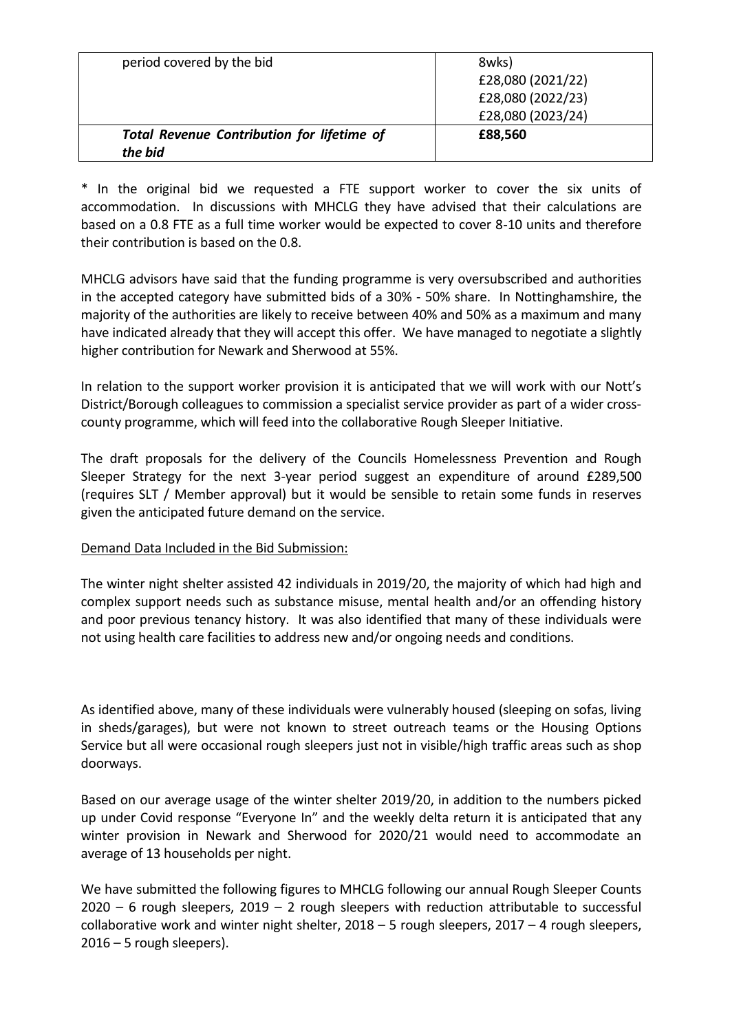| period covered by the bid                                    | 8wks)<br>£28,080 (2021/22)<br>£28,080 (2022/23)<br>£28,080 (2023/24) |
|--------------------------------------------------------------|----------------------------------------------------------------------|
| <b>Total Revenue Contribution for lifetime of</b><br>the bid | £88,560                                                              |

\* In the original bid we requested a FTE support worker to cover the six units of accommodation. In discussions with MHCLG they have advised that their calculations are based on a 0.8 FTE as a full time worker would be expected to cover 8-10 units and therefore their contribution is based on the 0.8.

MHCLG advisors have said that the funding programme is very oversubscribed and authorities in the accepted category have submitted bids of a 30% - 50% share. In Nottinghamshire, the majority of the authorities are likely to receive between 40% and 50% as a maximum and many have indicated already that they will accept this offer. We have managed to negotiate a slightly higher contribution for Newark and Sherwood at 55%.

In relation to the support worker provision it is anticipated that we will work with our Nott's District/Borough colleagues to commission a specialist service provider as part of a wider crosscounty programme, which will feed into the collaborative Rough Sleeper Initiative.

The draft proposals for the delivery of the Councils Homelessness Prevention and Rough Sleeper Strategy for the next 3-year period suggest an expenditure of around £289,500 (requires SLT / Member approval) but it would be sensible to retain some funds in reserves given the anticipated future demand on the service.

#### Demand Data Included in the Bid Submission:

The winter night shelter assisted 42 individuals in 2019/20, the majority of which had high and complex support needs such as substance misuse, mental health and/or an offending history and poor previous tenancy history. It was also identified that many of these individuals were not using health care facilities to address new and/or ongoing needs and conditions.

As identified above, many of these individuals were vulnerably housed (sleeping on sofas, living in sheds/garages), but were not known to street outreach teams or the Housing Options Service but all were occasional rough sleepers just not in visible/high traffic areas such as shop doorways.

Based on our average usage of the winter shelter 2019/20, in addition to the numbers picked up under Covid response "Everyone In" and the weekly delta return it is anticipated that any winter provision in Newark and Sherwood for 2020/21 would need to accommodate an average of 13 households per night.

We have submitted the following figures to MHCLG following our annual Rough Sleeper Counts  $2020 - 6$  rough sleepers,  $2019 - 2$  rough sleepers with reduction attributable to successful collaborative work and winter night shelter,  $2018 - 5$  rough sleepers,  $2017 - 4$  rough sleepers, 2016 – 5 rough sleepers).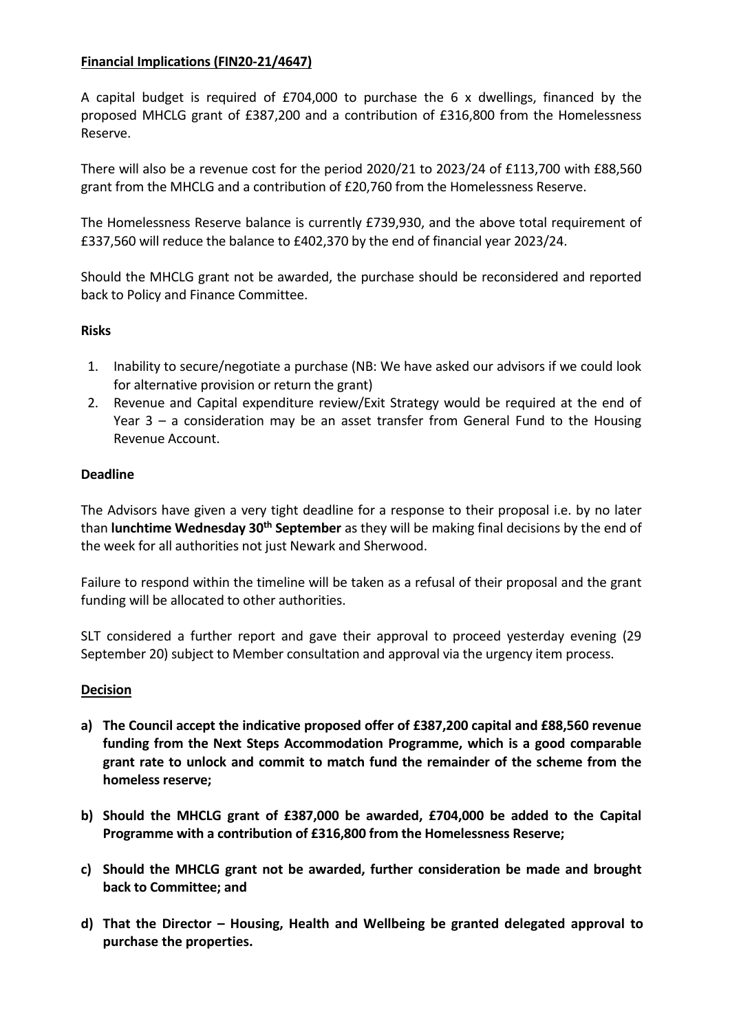## **Financial Implications (FIN20-21/4647)**

A capital budget is required of £704,000 to purchase the 6 x dwellings, financed by the proposed MHCLG grant of £387,200 and a contribution of £316,800 from the Homelessness Reserve.

There will also be a revenue cost for the period 2020/21 to 2023/24 of £113,700 with £88,560 grant from the MHCLG and a contribution of £20,760 from the Homelessness Reserve.

The Homelessness Reserve balance is currently £739,930, and the above total requirement of £337,560 will reduce the balance to £402,370 by the end of financial year 2023/24.

Should the MHCLG grant not be awarded, the purchase should be reconsidered and reported back to Policy and Finance Committee.

### **Risks**

- 1. Inability to secure/negotiate a purchase (NB: We have asked our advisors if we could look for alternative provision or return the grant)
- 2. Revenue and Capital expenditure review/Exit Strategy would be required at the end of Year 3 – a consideration may be an asset transfer from General Fund to the Housing Revenue Account.

### **Deadline**

The Advisors have given a very tight deadline for a response to their proposal i.e. by no later than **lunchtime Wednesday 30th September** as they will be making final decisions by the end of the week for all authorities not just Newark and Sherwood.

Failure to respond within the timeline will be taken as a refusal of their proposal and the grant funding will be allocated to other authorities.

SLT considered a further report and gave their approval to proceed yesterday evening (29 September 20) subject to Member consultation and approval via the urgency item process.

#### **Decision**

- **a) The Council accept the indicative proposed offer of £387,200 capital and £88,560 revenue funding from the Next Steps Accommodation Programme, which is a good comparable grant rate to unlock and commit to match fund the remainder of the scheme from the homeless reserve;**
- **b) Should the MHCLG grant of £387,000 be awarded, £704,000 be added to the Capital Programme with a contribution of £316,800 from the Homelessness Reserve;**
- **c) Should the MHCLG grant not be awarded, further consideration be made and brought back to Committee; and**
- **d) That the Director – Housing, Health and Wellbeing be granted delegated approval to purchase the properties.**